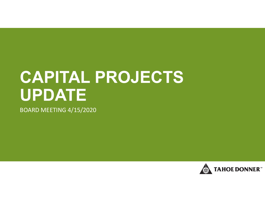# **CAPITAL PROJECTS UPDATE**

BOARD MEETING 4/15/2020

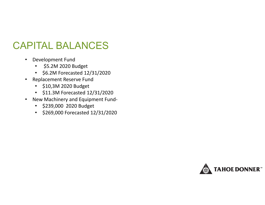### CAPITAL BALANCES

- Development Fund
	- \$5.2M 2020 Budget
	- \$6.2M Forecasted 12/31/2020
- Replacement Reserve Fund
	- \$10,3M 2020 Budget
	- \$11.3M Forecasted 12/31/2020
- New Machinery and Equipment Fund‐
	- \$239,000 2020 Budget
	- \$269,000 Forecasted 12/31/2020

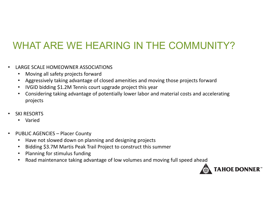# WHAT ARE WE HEARING IN THE COMMUNITY?

- $\bullet$  LARGE SCALE HOMEOWNER ASSOCIATIONS
	- Moving all safety projects forward
	- Aggressively taking advantage of closed amenities and moving those projects forward
	- IVGID bidding \$1.2M Tennis court upgrade project this year
	- • Considering taking advantage of potentially lower labor and material costs and accelerating projects
- $\bullet$  SKI RESORTS
	- Varied
- $\bullet$ • PUBLIC AGENCIES – Placer County
	- $\bullet$ • Have not slowed down on planning and designing projects
	- •Bidding \$3.7M Martis Peak Trail Project to construct this summer
	- Planning for stimulus funding
	- •Road maintenance taking advantage of low volumes and moving full speed ahead

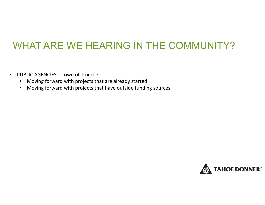## WHAT ARE WE HEARING IN THE COMMUNITY?

- • PUBLIC AGENCIES – Town of Truckee
	- •Moving forward with projects that are already started
	- •Moving forward with projects that have outside funding sources

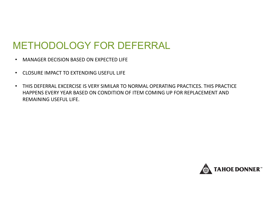## METHODOLOGY FOR DEFERRAL

- $\bullet$ MANAGER DECISION BASED ON EXPECTED LIFE
- $\bullet$ CLOSURE IMPACT TO EXTENDING USEFUL LIFE
- $\bullet$  THIS DEFERRAL EXCERCISE IS VERY SIMILAR TO NORMAL OPERATING PRACTICES. THIS PRACTICE HAPPENS EVERY YEAR BASED ON CONDITION OF ITEM COMING UP FOR REPLACEMENT AND REMAINING USEFUL LIFE.

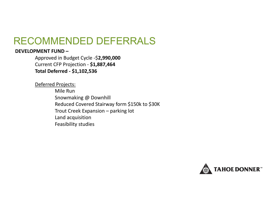#### **DEVELOPMENT FUND–**

Approved in Budget Cycle ‐ \$**2,990,000** Current CFP Projection ‐ **\$1,887,464 Total Deferred ‐ \$1,102,536**

Deferred Projects:

Mile RunSnowmaking @ Downhill Reduced Covered Stairway form \$150k to \$30K Trout Creek Expansion – parking lot Land acquisition Feasibility studies

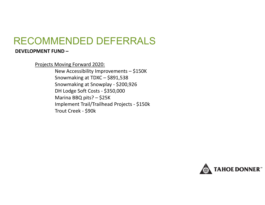#### **DEVELOPMENT FUND–**

Projects Moving Forward 2020:

New Accessibility Improvements – \$150K Snowmaking at TDXC – \$891,538 Snowmaking at Snowplay ‐ \$200,926 DH Lodge Soft Costs ‐ \$350,000 Marina BBQ pits? – \$25K Implement Trail/Trailhead Projects ‐ \$150k Trout Creek ‐ \$90k

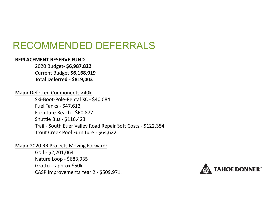#### **REPLACEMENT RESERVE FUND**

2020 Budget‐ **\$6,987,822** Current Budget **\$6,168,919 Total Deferred ‐ \$819,003**

#### Major Deferred Components >40k

Ski‐Boot‐Pole‐Rental XC ‐ \$40,084 Fuel Tanks ‐ \$47,612 Furniture Beach ‐ \$60,877 Shuttle Bus ‐ \$116,423 Trail ‐ South Euer Valley Road Repair Soft Costs ‐ \$122,354 Trout Creek Pool Furniture ‐ \$64,622

Major 2020 RR Projects Moving Forward:

Golf ‐ \$2,201,064 Nature Loop ‐ \$683,935 Grotto – approx \$50k CASP Improvements Year 2 ‐ \$509,971

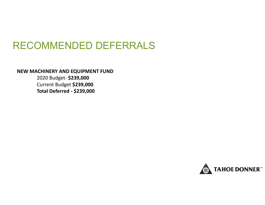**NEW MACHINERY AND EQUIPMENT FUND**

2020 Budget‐ **\$239,000** Current Budget **\$239,000 Total Deferred ‐ \$239,000**

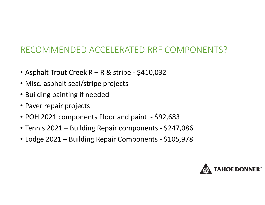### RECOMMENDED ACCELERATED RRF COMPONENTS?

- Asphalt Trout Creek <sup>R</sup> <sup>R</sup> & stripe ‐ \$410,032
- Misc. asphalt seal/stripe projects
- Building painting if needed
- Paver repair projects
- POH 2021 components Floor and paint ‐ \$92,683
- Tennis 2021 Building Repair components ‐ \$247,086
- Lodge 2021 Building Repair Components ‐ \$105,978